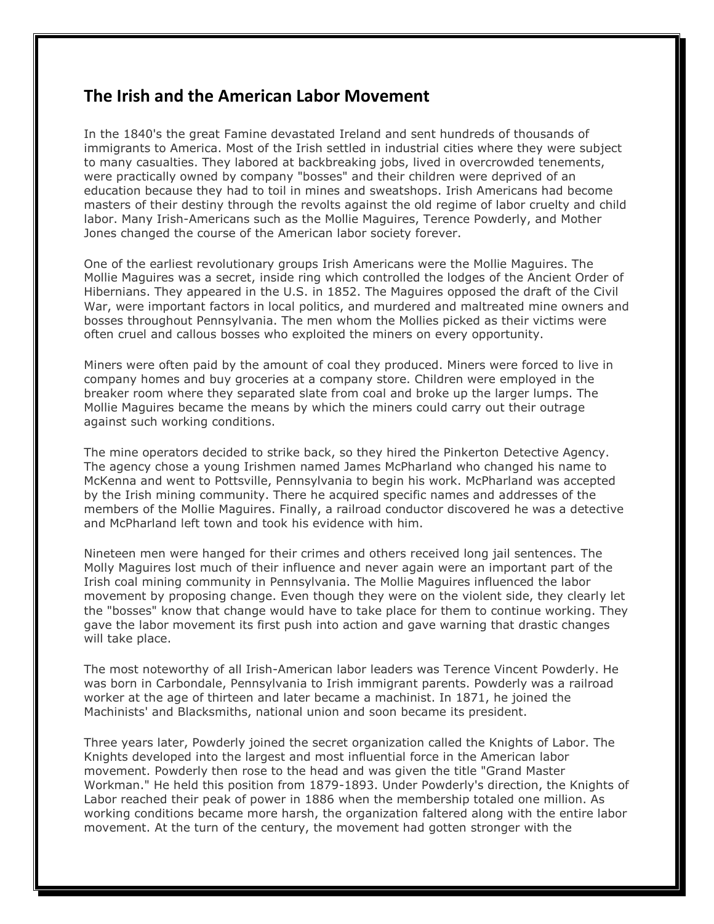## **The Irish and the American Labor Movement**

In the 1840's the great Famine devastated Ireland and sent hundreds of thousands of immigrants to America. Most of the Irish settled in industrial cities where they were subject to many casualties. They labored at backbreaking jobs, lived in overcrowded tenements, were practically owned by company "bosses" and their children were deprived of an education because they had to toil in mines and sweatshops. Irish Americans had become masters of their destiny through the revolts against the old regime of labor cruelty and child labor. Many Irish-Americans such as the Mollie Maguires, Terence Powderly, and Mother Jones changed the course of the American labor society forever.

One of the earliest revolutionary groups Irish Americans were the Mollie Maguires. The Mollie Maguires was a secret, inside ring which controlled the lodges of the Ancient Order of Hibernians. They appeared in the U.S. in 1852. The Maguires opposed the draft of the Civil War, were important factors in local politics, and murdered and maltreated mine owners and bosses throughout Pennsylvania. The men whom the Mollies picked as their victims were often cruel and callous bosses who exploited the miners on every opportunity.

Miners were often paid by the amount of coal they produced. Miners were forced to live in company homes and buy groceries at a company store. Children were employed in the breaker room where they separated slate from coal and broke up the larger lumps. The Mollie Maguires became the means by which the miners could carry out their outrage against such working conditions.

The mine operators decided to strike back, so they hired the Pinkerton Detective Agency. The agency chose a young Irishmen named James McPharland who changed his name to McKenna and went to Pottsville, Pennsylvania to begin his work. McPharland was accepted by the Irish mining community. There he acquired specific names and addresses of the members of the Mollie Maguires. Finally, a railroad conductor discovered he was a detective and McPharland left town and took his evidence with him.

Nineteen men were hanged for their crimes and others received long jail sentences. The Molly Maguires lost much of their influence and never again were an important part of the Irish coal mining community in Pennsylvania. The Mollie Maguires influenced the labor movement by proposing change. Even though they were on the violent side, they clearly let the "bosses" know that change would have to take place for them to continue working. They gave the labor movement its first push into action and gave warning that drastic changes will take place.

The most noteworthy of all Irish-American labor leaders was Terence Vincent Powderly. He was born in Carbondale, Pennsylvania to Irish immigrant parents. Powderly was a railroad worker at the age of thirteen and later became a machinist. In 1871, he joined the Machinists' and Blacksmiths, national union and soon became its president.

Three years later, Powderly joined the secret organization called the Knights of Labor. The Knights developed into the largest and most influential force in the American labor movement. Powderly then rose to the head and was given the title "Grand Master Workman." He held this position from 1879-1893. Under Powderly's direction, the Knights of Labor reached their peak of power in 1886 when the membership totaled one million. As working conditions became more harsh, the organization faltered along with the entire labor movement. At the turn of the century, the movement had gotten stronger with the